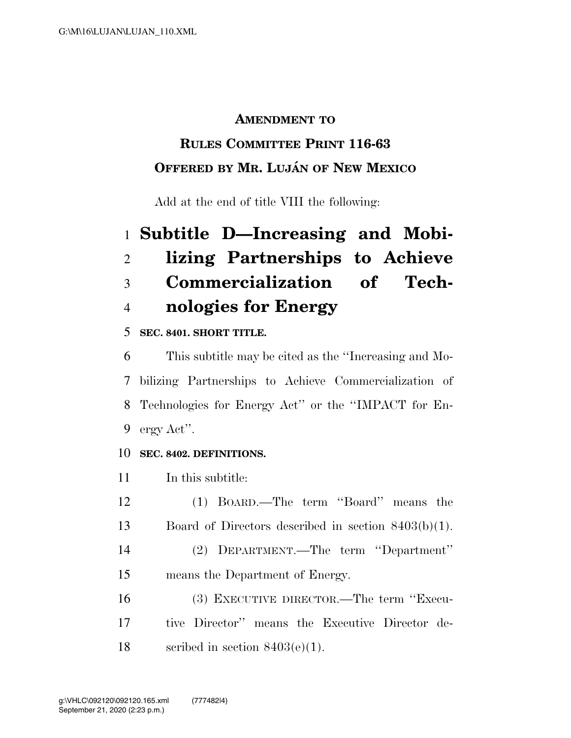#### **AMENDMENT TO**

## **RULES COMMITTEE PRINT 116-63 OFFERED BY MR. LUJA´ N OF NEW MEXICO**

Add at the end of title VIII the following:

# **Subtitle D—Increasing and Mobi- lizing Partnerships to Achieve Commercialization of Tech-nologies for Energy**

#### **SEC. 8401. SHORT TITLE.**

 This subtitle may be cited as the ''Increasing and Mo- bilizing Partnerships to Achieve Commercialization of Technologies for Energy Act'' or the ''IMPACT for En-ergy Act''.

#### **SEC. 8402. DEFINITIONS.**

In this subtitle:

- (1) BOARD.—The term ''Board'' means the Board of Directors described in section 8403(b)(1).
- (2) DEPARTMENT.—The term ''Department'' means the Department of Energy.
- (3) EXECUTIVE DIRECTOR.—The term ''Execu- tive Director'' means the Executive Director de-18 section 8403(e)(1).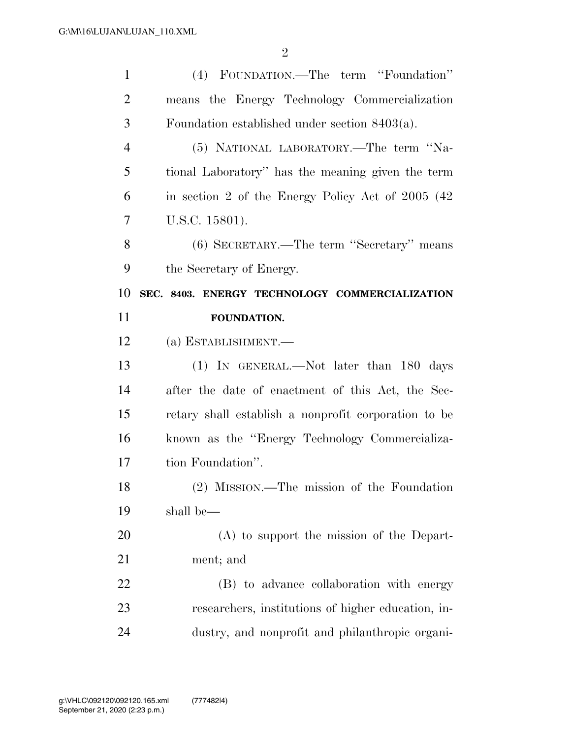| $\mathbf{1}$   | (4) FOUNDATION.—The term "Foundation"                |
|----------------|------------------------------------------------------|
| $\overline{2}$ | means the Energy Technology Commercialization        |
| 3              | Foundation established under section $8403(a)$ .     |
| $\overline{4}$ | (5) NATIONAL LABORATORY.—The term "Na-               |
| 5              | tional Laboratory" has the meaning given the term    |
| 6              | in section 2 of the Energy Policy Act of 2005 (42)   |
| 7              | U.S.C. 15801).                                       |
| 8              | (6) SECRETARY.—The term "Secretary" means            |
| 9              | the Secretary of Energy.                             |
| 10             | SEC. 8403. ENERGY TECHNOLOGY COMMERCIALIZATION       |
| 11             | FOUNDATION.                                          |
| 12             | (a) ESTABLISHMENT.—                                  |
|                |                                                      |
| 13             | (1) IN GENERAL.—Not later than 180 days              |
| 14             | after the date of enactment of this Act, the Sec-    |
| 15             | retary shall establish a nonprofit corporation to be |
| 16             | known as the "Energy Technology Commercializa-       |
| 17             | tion Foundation".                                    |
| 18             | (2) MISSION.—The mission of the Foundation           |
| 19             | shall be—                                            |
| 20             | $(A)$ to support the mission of the Depart-          |
| 21             | ment; and                                            |
| 22             | (B) to advance collaboration with energy             |
| 23             | researchers, institutions of higher education, in-   |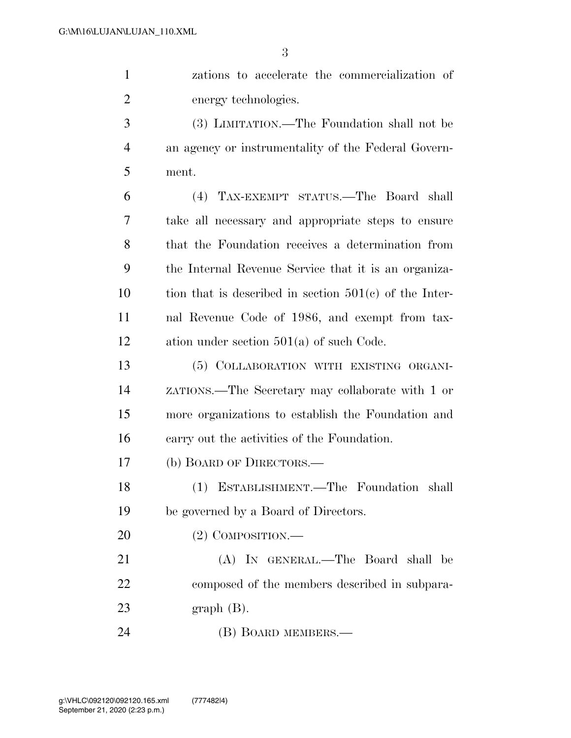| $\mathbf{1}$   | zations to accelerate the commercialization of           |
|----------------|----------------------------------------------------------|
| 2              | energy technologies.                                     |
| 3              | (3) LIMITATION.—The Foundation shall not be              |
| $\overline{4}$ | an agency or instrumentality of the Federal Govern-      |
| 5              | ment.                                                    |
| 6              | (4) TAX-EXEMPT STATUS.—The Board shall                   |
| $\overline{7}$ | take all necessary and appropriate steps to ensure       |
| 8              | that the Foundation receives a determination from        |
| 9              | the Internal Revenue Service that it is an organiza-     |
| 10             | tion that is described in section $501(c)$ of the Inter- |
| 11             | nal Revenue Code of 1986, and exempt from tax-           |

ation under section 501(a) of such Code.

 (5) COLLABORATION WITH EXISTING ORGANI- ZATIONS.—The Secretary may collaborate with 1 or more organizations to establish the Foundation and carry out the activities of the Foundation.

(b) BOARD OF DIRECTORS.—

 (1) ESTABLISHMENT.—The Foundation shall be governed by a Board of Directors.

(2) COMPOSITION.—

 (A) IN GENERAL.—The Board shall be composed of the members described in subpara-graph (B).

(B) BOARD MEMBERS.—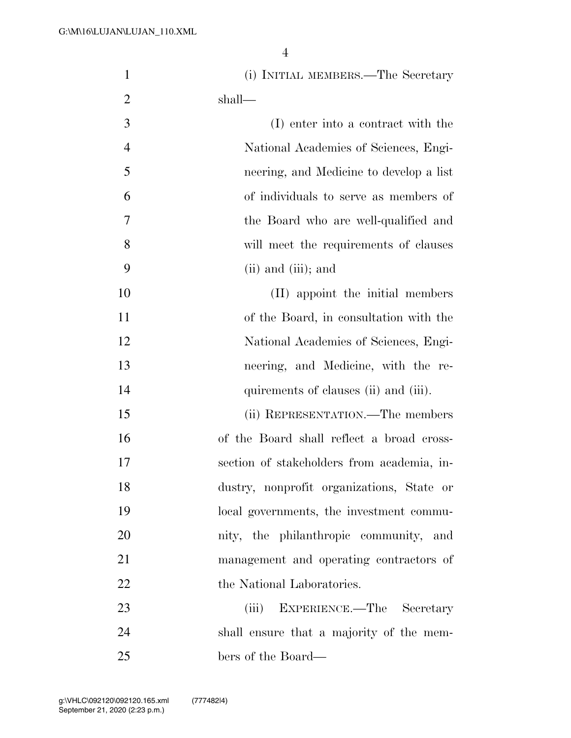| $\mathbf{1}$   | (i) INITIAL MEMBERS.—The Secretary         |
|----------------|--------------------------------------------|
| $\overline{2}$ | shall—                                     |
| 3              | (I) enter into a contract with the         |
| $\overline{4}$ | National Academies of Sciences, Engi-      |
| 5              | neering, and Medicine to develop a list    |
| 6              | of individuals to serve as members of      |
| 7              | the Board who are well-qualified and       |
| 8              | will meet the requirements of clauses      |
| 9              | $(ii)$ and $(iii)$ ; and                   |
| 10             | (II) appoint the initial members           |
| 11             | of the Board, in consultation with the     |
| 12             | National Academies of Sciences, Engi-      |
| 13             | neering, and Medicine, with the re-        |
| 14             | quirements of clauses (ii) and (iii).      |
| 15             | (ii) REPRESENTATION.—The members           |
| 16             | of the Board shall reflect a broad cross-  |
| 17             | section of stakeholders from academia, in- |
| 18             | dustry, nonprofit organizations, State or  |
| 19             | local governments, the investment commu-   |
| 20             | nity, the philanthropic community, and     |
| 21             | management and operating contractors of    |
| 22             | the National Laboratories.                 |
| 23             | (iii)<br>EXPERIENCE.—The Secretary         |
| 24             | shall ensure that a majority of the mem-   |
| 25             | bers of the Board—                         |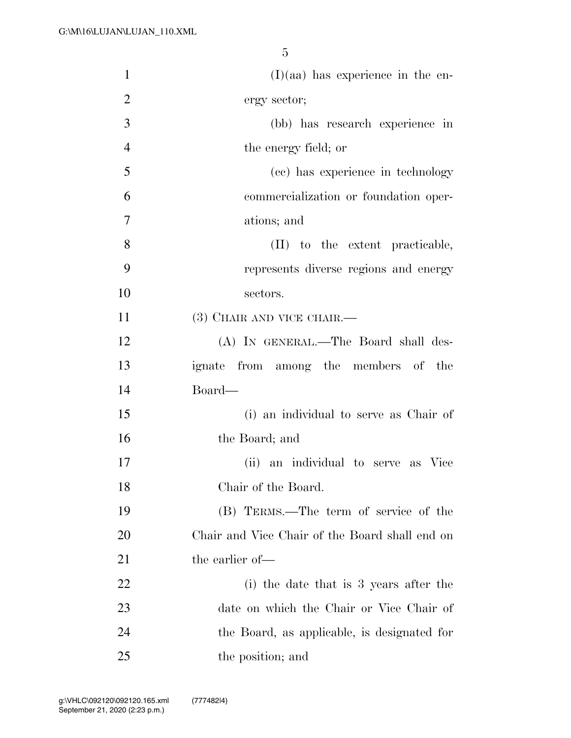| $\mathbf{1}$   | $(I)(aa)$ has experience in the en-            |
|----------------|------------------------------------------------|
| $\overline{2}$ | ergy sector;                                   |
| 3              | (bb) has research experience in                |
| $\overline{4}$ | the energy field; or                           |
| 5              | (cc) has experience in technology              |
| 6              | commercialization or foundation oper-          |
| 7              | ations; and                                    |
| 8              | (II) to the extent practicable,                |
| 9              | represents diverse regions and energy          |
| 10             | sectors.                                       |
| 11             | $(3)$ CHAIR AND VICE CHAIR.—                   |
| 12             | (A) IN GENERAL.—The Board shall des-           |
| 13             | ignate from among the members of the           |
| 14             | Board—                                         |
| 15             | (i) an individual to serve as Chair of         |
| 16             | the Board; and                                 |
| 17             | an individual to serve as Vice<br>(ii)         |
| 18             | Chair of the Board.                            |
| 19             | (B) TERMS.—The term of service of the          |
| 20             | Chair and Vice Chair of the Board shall end on |
| 21             | the earlier of-                                |
| 22             | (i) the date that is 3 years after the         |
| 23             | date on which the Chair or Vice Chair of       |
| 24             | the Board, as applicable, is designated for    |
| 25             | the position; and                              |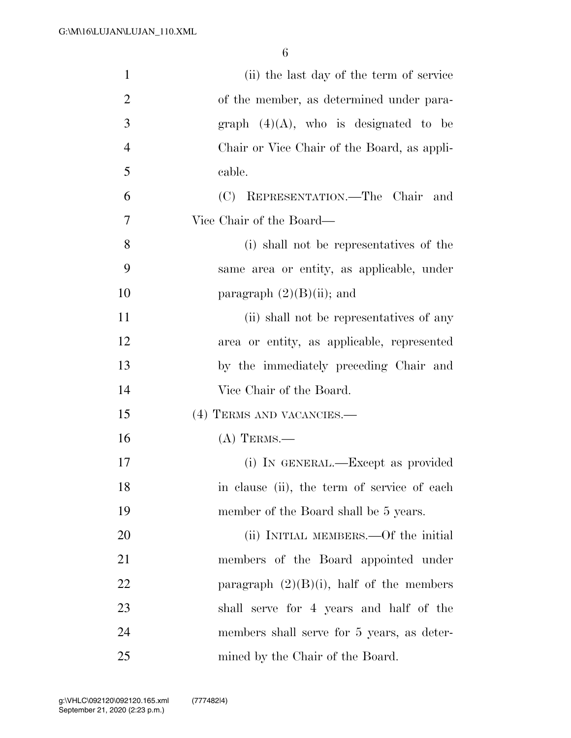| $\mathbf{1}$   | (ii) the last day of the term of service    |
|----------------|---------------------------------------------|
| $\overline{2}$ | of the member, as determined under para-    |
| 3              | graph $(4)(A)$ , who is designated to be    |
| $\overline{4}$ | Chair or Vice Chair of the Board, as appli- |
| 5              | cable.                                      |
| 6              | (C) REPRESENTATION.—The Chair<br>and        |
| 7              | Vice Chair of the Board—                    |
| 8              | (i) shall not be representatives of the     |
| 9              | same area or entity, as applicable, under   |
| 10             | paragraph $(2)(B)(ii)$ ; and                |
| 11             | (ii) shall not be representatives of any    |
| 12             | area or entity, as applicable, represented  |
| 13             | by the immediately preceding Chair and      |
| 14             | Vice Chair of the Board.                    |
| 15             | (4) TERMS AND VACANCIES.—                   |
| 16             | $(A)$ TERMS.—                               |
| 17             | (i) IN GENERAL.—Except as provided          |
| 18             | in clause (ii), the term of service of each |
| 19             | member of the Board shall be 5 years.       |
| 20             | (ii) INITIAL MEMBERS.—Of the initial        |
| 21             | members of the Board appointed under        |
| 22             | paragraph $(2)(B)(i)$ , half of the members |
| 23             | shall serve for 4 years and half of the     |
| 24             | members shall serve for 5 years, as deter-  |
| 25             | mined by the Chair of the Board.            |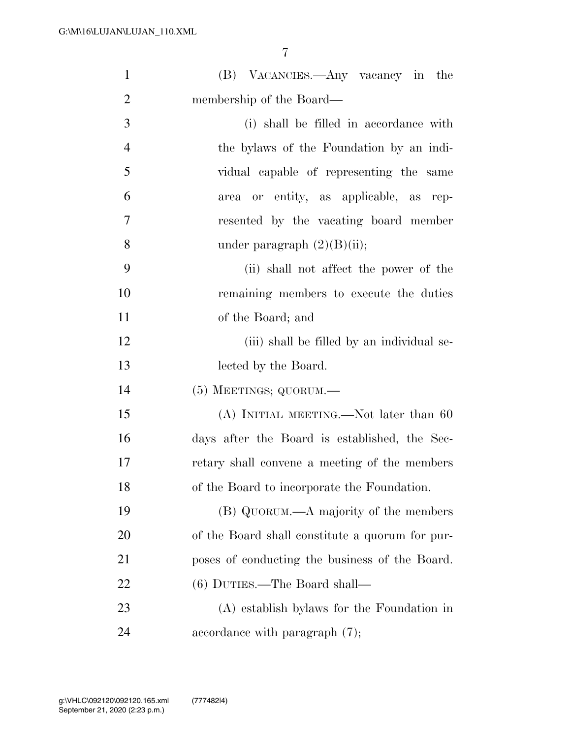| $\mathbf{1}$   | (B) VACANCIES.—Any vacancy in the               |
|----------------|-------------------------------------------------|
| $\overline{2}$ | membership of the Board—                        |
| 3              | (i) shall be filled in accordance with          |
| $\overline{4}$ | the bylaws of the Foundation by an indi-        |
| 5              | vidual capable of representing the same         |
| 6              | or entity, as applicable, as rep-<br>area       |
| $\tau$         | resented by the vacating board member           |
| 8              | under paragraph $(2)(B)(ii)$ ;                  |
| 9              | (ii) shall not affect the power of the          |
| 10             | remaining members to execute the duties         |
| 11             | of the Board; and                               |
| 12             | (iii) shall be filled by an individual se-      |
| 13             | lected by the Board.                            |
| 14             | $(5)$ MEETINGS; QUORUM.—                        |
| 15             | $(A)$ INITIAL MEETING.—Not later than 60        |
| 16             | days after the Board is established, the Sec-   |
| 17             | retary shall convene a meeting of the members   |
| 18             | of the Board to incorporate the Foundation.     |
| 19             | (B) QUORUM.—A majority of the members           |
| <b>20</b>      | of the Board shall constitute a quorum for pur- |
| 21             | poses of conducting the business of the Board.  |
| 22             | $(6)$ DUTIES.—The Board shall—                  |
| 23             | (A) establish bylaws for the Foundation in      |
| 24             | accordance with paragraph $(7)$ ;               |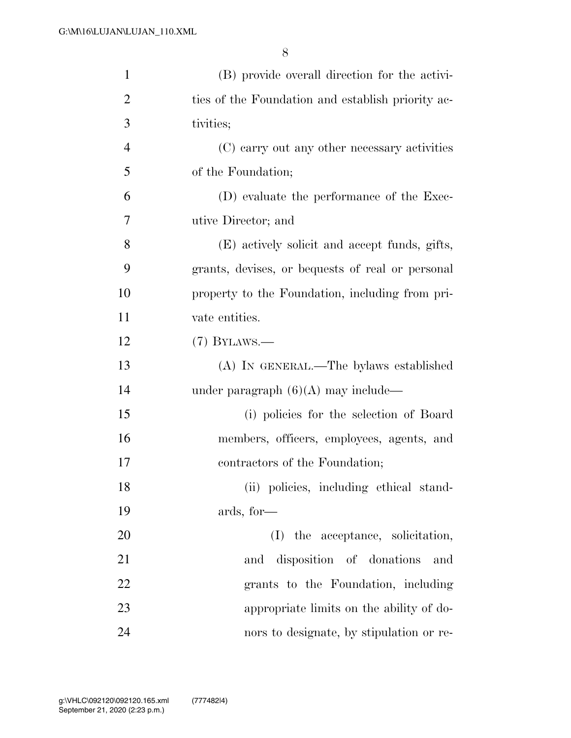| $\mathbf{1}$   | (B) provide overall direction for the activi-     |
|----------------|---------------------------------------------------|
| $\overline{2}$ | ties of the Foundation and establish priority ac- |
| 3              | tivities;                                         |
| $\overline{4}$ | (C) carry out any other necessary activities      |
| 5              | of the Foundation;                                |
| 6              | (D) evaluate the performance of the Exec-         |
| 7              | utive Director; and                               |
| 8              | (E) actively solicit and accept funds, gifts,     |
| 9              | grants, devises, or bequests of real or personal  |
| 10             | property to the Foundation, including from pri-   |
| 11             | vate entities.                                    |
| 12             | $(7)$ BYLAWS.—                                    |
| 13             | (A) IN GENERAL.—The bylaws established            |
| 14             | under paragraph $(6)(A)$ may include—             |
| 15             | (i) policies for the selection of Board           |
| 16             | members, officers, employees, agents, and         |
| 17             | contractors of the Foundation;                    |
| 18             | (ii) policies, including ethical stand-           |
| 19             | ards, for-                                        |
| 20             | (I) the acceptance, solicitation,                 |
| 21             | disposition of donations<br>and<br>and            |
| 22             | grants to the Foundation, including               |
| 23             | appropriate limits on the ability of do-          |
| 24             | nors to designate, by stipulation or re-          |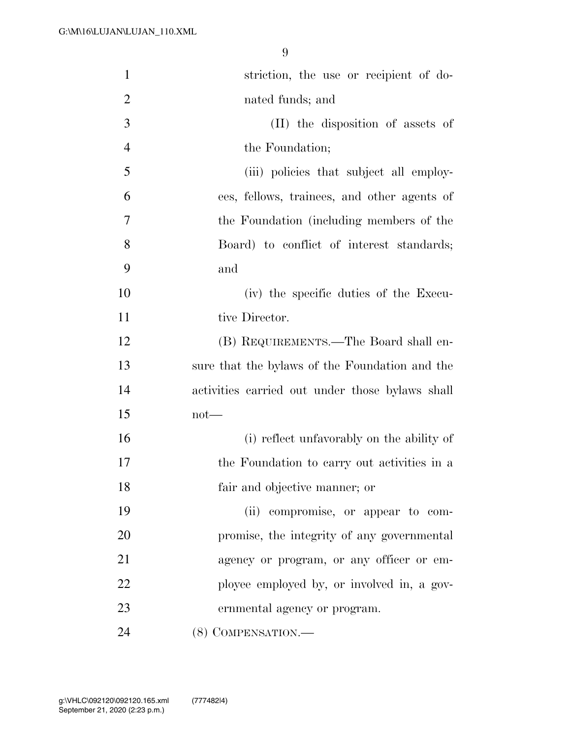| $\mathbf{1}$   | striction, the use or recipient of do-          |
|----------------|-------------------------------------------------|
| $\overline{2}$ | nated funds; and                                |
| 3              | (II) the disposition of assets of               |
| $\overline{4}$ | the Foundation;                                 |
| 5              | (iii) policies that subject all employ-         |
| 6              | ees, fellows, trainees, and other agents of     |
| 7              | the Foundation (including members of the        |
| 8              | Board) to conflict of interest standards;       |
| 9              | and                                             |
| 10             | (iv) the specific duties of the Execu-          |
| 11             | tive Director.                                  |
| 12             | (B) REQUIREMENTS.—The Board shall en-           |
| 13             | sure that the bylaws of the Foundation and the  |
| 14             | activities carried out under those bylaws shall |
| 15             | $not$ —                                         |
| 16             | (i) reflect unfavorably on the ability of       |
| 17             | the Foundation to carry out activities in a     |
| 18             | fair and objective manner; or                   |
| 19             | (ii) compromise, or appear to com-              |
| 20             | promise, the integrity of any governmental      |
| 21             | agency or program, or any officer or em-        |
| 22             | ployee employed by, or involved in, a gov-      |
| 23             | ernmental agency or program.                    |
| 24             | (8) COMPENSATION.                               |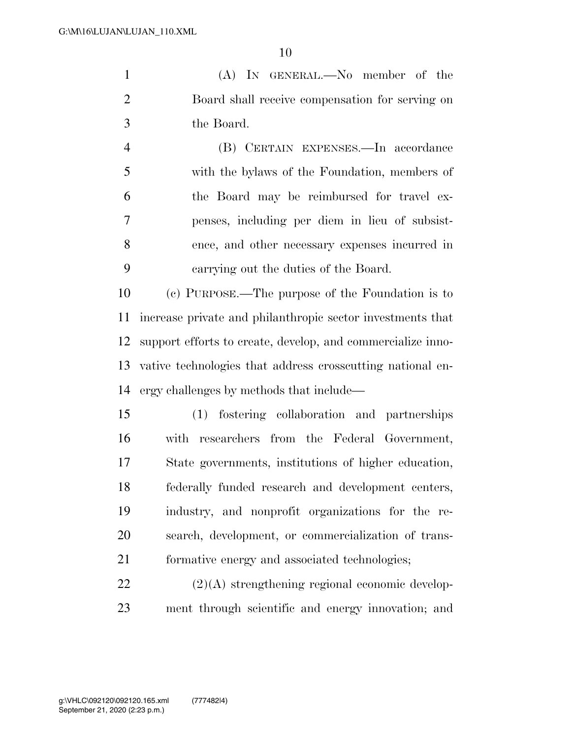(A) IN GENERAL.—No member of the Board shall receive compensation for serving on the Board.

 (B) CERTAIN EXPENSES.—In accordance with the bylaws of the Foundation, members of the Board may be reimbursed for travel ex- penses, including per diem in lieu of subsist- ence, and other necessary expenses incurred in carrying out the duties of the Board.

 (c) PURPOSE.—The purpose of the Foundation is to increase private and philanthropic sector investments that support efforts to create, develop, and commercialize inno- vative technologies that address crosscutting national en-ergy challenges by methods that include—

 (1) fostering collaboration and partnerships with researchers from the Federal Government, State governments, institutions of higher education, federally funded research and development centers, industry, and nonprofit organizations for the re- search, development, or commercialization of trans-formative energy and associated technologies;

 (2)(A) strengthening regional economic develop-ment through scientific and energy innovation; and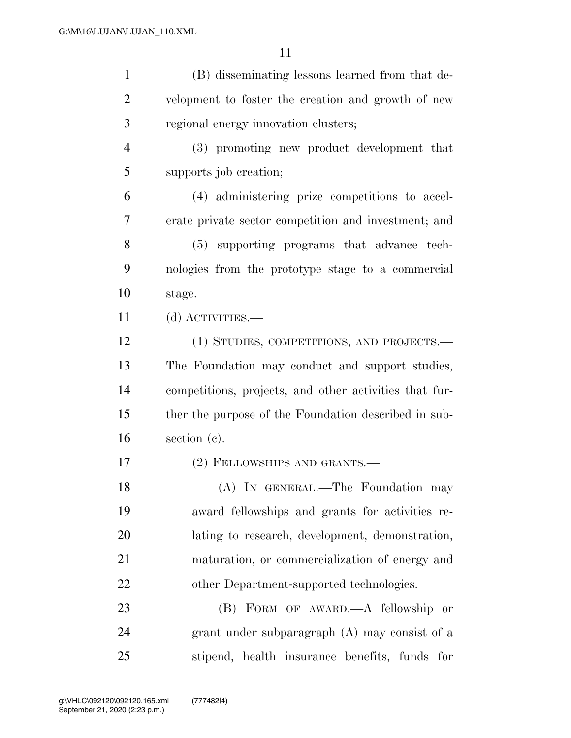| $\mathbf{1}$   | (B) disseminating lessons learned from that de-        |
|----------------|--------------------------------------------------------|
| $\overline{2}$ | velopment to foster the creation and growth of new     |
| 3              | regional energy innovation clusters;                   |
| $\overline{4}$ | (3) promoting new product development that             |
| 5              | supports job creation;                                 |
| 6              | (4) administering prize competitions to accel-         |
| 7              | erate private sector competition and investment; and   |
| 8              | (5) supporting programs that advance tech-             |
| 9              | nologies from the prototype stage to a commercial      |
| 10             | stage.                                                 |
| 11             | (d) ACTIVITIES.—                                       |
| 12             | (1) STUDIES, COMPETITIONS, AND PROJECTS.—              |
| 13             | The Foundation may conduct and support studies,        |
| 14             | competitions, projects, and other activities that fur- |
| 15             | ther the purpose of the Foundation described in sub-   |
| 16             | section (c).                                           |
| 17             | (2) FELLOWSHIPS AND GRANTS.-                           |
| 18             | (A) IN GENERAL.—The Foundation may                     |
| 19             | award fellowships and grants for activities re-        |
| 20             | lating to research, development, demonstration,        |
| 21             | maturation, or commercialization of energy and         |
| 22             | other Department-supported technologies.               |
| 23             | (B) FORM OF AWARD.—A fellowship or                     |
| 24             | grant under subparagraph $(A)$ may consist of a        |
| 25             | stipend, health insurance benefits, funds for          |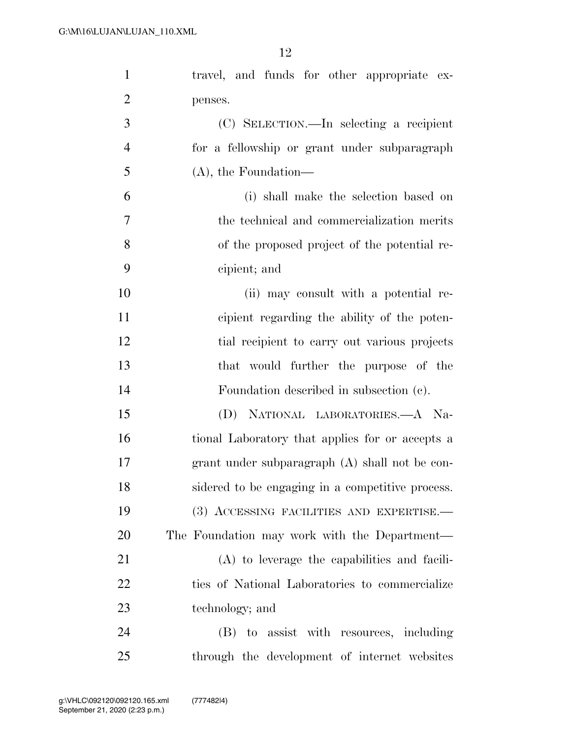| $\mathbf{1}$   | travel, and funds for other appropriate ex-      |
|----------------|--------------------------------------------------|
| $\overline{2}$ | penses.                                          |
| 3              | (C) SELECTION.—In selecting a recipient          |
| $\overline{4}$ | for a fellowship or grant under subparagraph     |
| 5              | $(A)$ , the Foundation—                          |
| 6              | (i) shall make the selection based on            |
| 7              | the technical and commercialization merits       |
| 8              | of the proposed project of the potential re-     |
| 9              | cipient; and                                     |
| 10             | (ii) may consult with a potential re-            |
| 11             | cipient regarding the ability of the poten-      |
| 12             | tial recipient to carry out various projects     |
| 13             | that would further the purpose of the            |
| 14             | Foundation described in subsection (c).          |
| 15             | NATIONAL LABORATORIES.—A Na-<br>(D)              |
| 16             | tional Laboratory that applies for or accepts a  |
| 17             | grant under subparagraph $(A)$ shall not be con- |
| 18             | sidered to be engaging in a competitive process. |
| 19             | (3) ACCESSING FACILITIES AND EXPERTISE.          |
| 20             | The Foundation may work with the Department—     |
| 21             | $(A)$ to leverage the capabilities and facili-   |
| 22             | ties of National Laboratories to commercialize   |
| 23             | technology; and                                  |
| 24             | (B) to assist with resources, including          |
| 25             | through the development of internet websites     |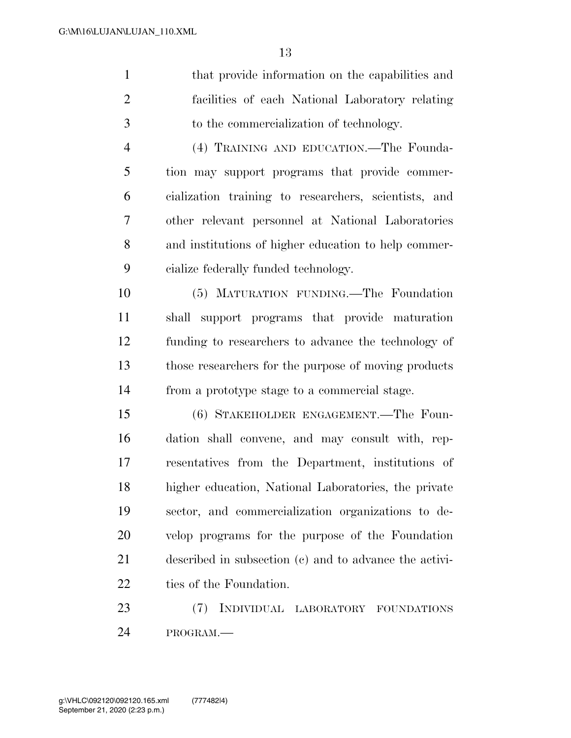|   | that provide information on the capabilities and |  |
|---|--------------------------------------------------|--|
| 2 | facilities of each National Laboratory relating  |  |
| 3 | to the commercialization of technology.          |  |
|   | (4) TRAINING AND EDUCATION.—The Founda-          |  |
|   |                                                  |  |

 tion may support programs that provide commer- cialization training to researchers, scientists, and other relevant personnel at National Laboratories and institutions of higher education to help commer-cialize federally funded technology.

 (5) MATURATION FUNDING.—The Foundation shall support programs that provide maturation funding to researchers to advance the technology of those researchers for the purpose of moving products from a prototype stage to a commercial stage.

 (6) STAKEHOLDER ENGAGEMENT.—The Foun- dation shall convene, and may consult with, rep- resentatives from the Department, institutions of higher education, National Laboratories, the private sector, and commercialization organizations to de- velop programs for the purpose of the Foundation described in subsection (c) and to advance the activi-22 ties of the Foundation.

 (7) INDIVIDUAL LABORATORY FOUNDATIONS PROGRAM.—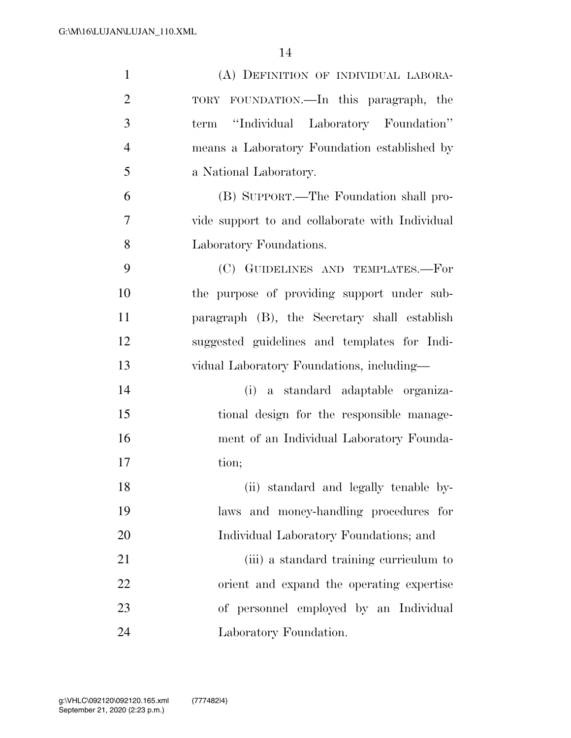| $\mathbf{1}$   | (A) DEFINITION OF INDIVIDUAL LABORA-            |
|----------------|-------------------------------------------------|
| $\overline{2}$ | TORY FOUNDATION.—In this paragraph, the         |
| 3              | "Individual Laboratory Foundation"<br>term      |
| $\overline{4}$ | means a Laboratory Foundation established by    |
| 5              | a National Laboratory.                          |
| 6              | (B) SUPPORT.—The Foundation shall pro-          |
| 7              | vide support to and collaborate with Individual |
| 8              | Laboratory Foundations.                         |
| 9              | (C) GUIDELINES AND TEMPLATES.-For               |
| 10             | the purpose of providing support under sub-     |
| 11             | paragraph (B), the Secretary shall establish    |
| 12             | suggested guidelines and templates for Indi-    |
| 13             | vidual Laboratory Foundations, including-       |
| 14             | (i) a standard adaptable organiza-              |
| 15             | tional design for the responsible manage-       |
| 16             | ment of an Individual Laboratory Founda-        |
| 17             | tion;                                           |
| 18             | (ii) standard and legally tenable by-           |
| 19             | laws and money-handling procedures for          |
| 20             | Individual Laboratory Foundations; and          |
| 21             | (iii) a standard training curriculum to         |
| 22             | orient and expand the operating expertise       |
| 23             | of personnel employed by an Individual          |
| 24             | Laboratory Foundation.                          |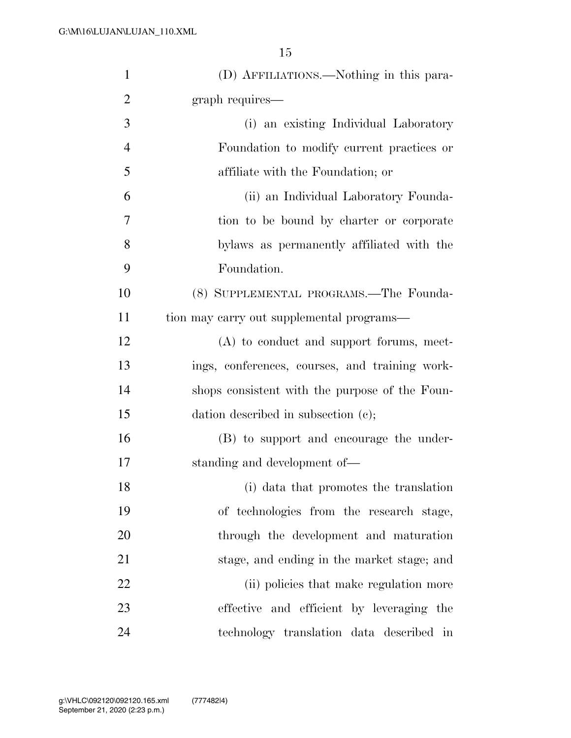| $\mathbf{1}$   | (D) AFFILIATIONS.—Nothing in this para-        |
|----------------|------------------------------------------------|
| $\overline{2}$ | graph requires—                                |
| 3              | (i) an existing Individual Laboratory          |
| $\overline{4}$ | Foundation to modify current practices or      |
| 5              | affiliate with the Foundation; or              |
| 6              | (ii) an Individual Laboratory Founda-          |
| 7              | tion to be bound by charter or corporate       |
| 8              | by laws as permanently affiliated with the     |
| 9              | Foundation.                                    |
| 10             | (8) SUPPLEMENTAL PROGRAMS.—The Founda-         |
| 11             | tion may carry out supplemental programs—      |
| 12             | $(A)$ to conduct and support forums, meet-     |
| 13             | ings, conferences, courses, and training work- |
| 14             | shops consistent with the purpose of the Foun- |
| 15             | dation described in subsection (c);            |
| 16             | (B) to support and encourage the under-        |
| 17             | standing and development of—                   |
| 18             | (i) data that promotes the translation         |
| 19             | of technologies from the research stage,       |
| 20             | through the development and maturation         |
| 21             | stage, and ending in the market stage; and     |
| 22             | (ii) policies that make regulation more        |
| 23             | effective and efficient by leveraging the      |
| 24             | technology translation data described in       |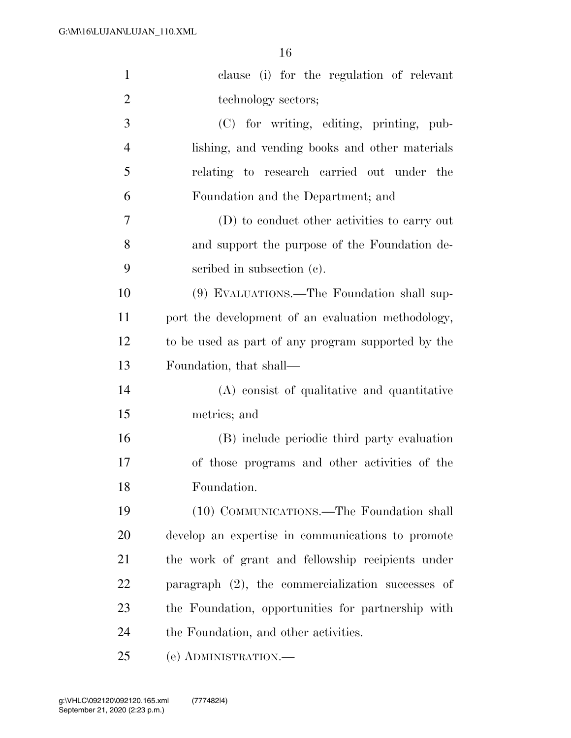| $\mathbf{1}$   | clause (i) for the regulation of relevant            |
|----------------|------------------------------------------------------|
| $\overline{2}$ | technology sectors;                                  |
| 3              | (C) for writing, editing, printing, pub-             |
| $\overline{4}$ | lishing, and vending books and other materials       |
| 5              | relating to research carried out under the           |
| 6              | Foundation and the Department; and                   |
| 7              | (D) to conduct other activities to carry out         |
| 8              | and support the purpose of the Foundation de-        |
| 9              | scribed in subsection (c).                           |
| 10             | (9) EVALUATIONS.—The Foundation shall sup-           |
| 11             | port the development of an evaluation methodology,   |
| 12             | to be used as part of any program supported by the   |
| 13             | Foundation, that shall—                              |
| 14             | (A) consist of qualitative and quantitative          |
| 15             | metrics; and                                         |
| 16             | (B) include periodic third party evaluation          |
| 17             | of those programs and other activities of the        |
| 18             | Foundation.                                          |
| 19             | (10) COMMUNICATIONS.—The Foundation shall            |
| 20             | develop an expertise in communications to promote    |
| 21             | the work of grant and fellowship recipients under    |
| 22             | paragraph $(2)$ , the commercialization successes of |
| 23             | the Foundation, opportunities for partnership with   |
| 24             | the Foundation, and other activities.                |
| 25             | (e) ADMINISTRATION.                                  |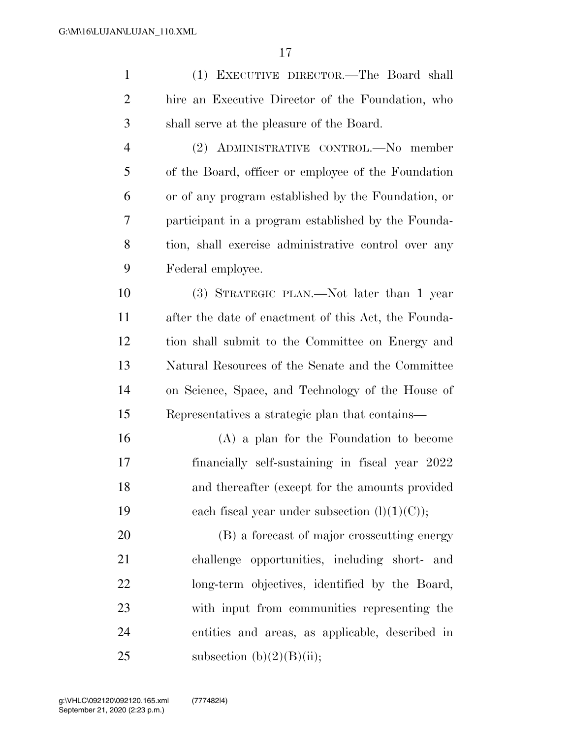| $\mathbf{1}$   | (1) EXECUTIVE DIRECTOR.—The Board shall              |
|----------------|------------------------------------------------------|
| $\overline{2}$ | hire an Executive Director of the Foundation, who    |
| 3              | shall serve at the pleasure of the Board.            |
| $\overline{4}$ | (2) ADMINISTRATIVE CONTROL.-No member                |
| 5              | of the Board, officer or employee of the Foundation  |
| 6              | or of any program established by the Foundation, or  |
| 7              | participant in a program established by the Founda-  |
| 8              | tion, shall exercise administrative control over any |
| 9              | Federal employee.                                    |
| 10             | (3) STRATEGIC PLAN.—Not later than 1 year            |
| 11             | after the date of enactment of this Act, the Founda- |
| 12             | tion shall submit to the Committee on Energy and     |
| 13             | Natural Resources of the Senate and the Committee    |
| 14             | on Science, Space, and Technology of the House of    |
| 15             | Representatives a strategic plan that contains—      |
| 16             | $(A)$ a plan for the Foundation to become            |
| 17             | financially self-sustaining in fiscal year 2022      |
| 18             | and thereafter (except for the amounts provided      |
| 19             | each fiscal year under subsection $(l)(1)(C)$ ;      |
| 20             | (B) a forecast of major crosscutting energy          |
| 21             | challenge opportunities, including short- and        |
| 22             | long-term objectives, identified by the Board,       |
| 23             | with input from communities representing the         |
| 24             | entities and areas, as applicable, described in      |
| 25             | subsection $(b)(2)(B)(ii);$                          |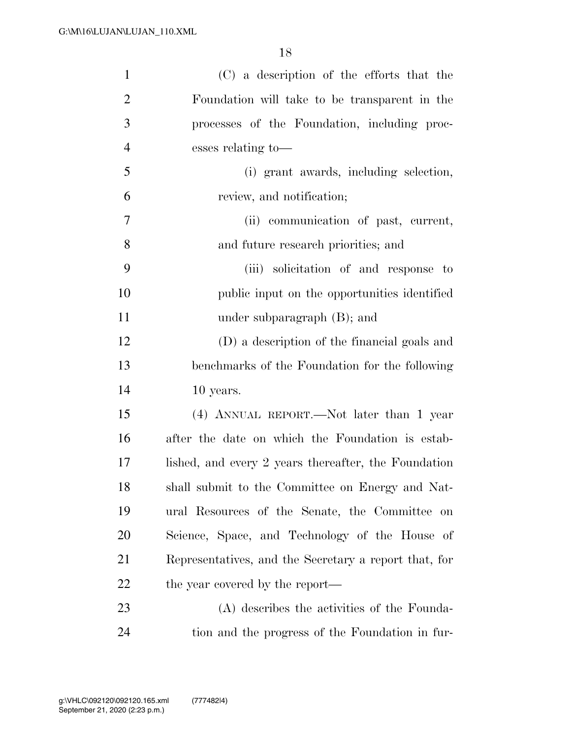| $\mathbf{1}$   | (C) a description of the efforts that the             |
|----------------|-------------------------------------------------------|
| $\overline{2}$ | Foundation will take to be transparent in the         |
| 3              | processes of the Foundation, including proc-          |
| $\overline{4}$ | esses relating to-                                    |
| 5              | (i) grant awards, including selection,                |
| 6              | review, and notification;                             |
| 7              | (ii) communication of past, current,                  |
| 8              | and future research priorities; and                   |
| 9              | (iii) solicitation of and response to                 |
| 10             | public input on the opportunities identified          |
| 11             | under subparagraph $(B)$ ; and                        |
| 12             | (D) a description of the financial goals and          |
| 13             | benchmarks of the Foundation for the following        |
| 14             | 10 years.                                             |
| 15             | (4) ANNUAL REPORT.—Not later than 1 year              |
| 16             | after the date on which the Foundation is estab-      |
| 17             | lished, and every 2 years thereafter, the Foundation  |
| 18             | shall submit to the Committee on Energy and Nat-      |
| 19             | ural Resources of the Senate, the Committee on        |
| 20             | Science, Space, and Technology of the House of        |
| 21             | Representatives, and the Secretary a report that, for |
| 22             | the year covered by the report—                       |
| 23             | (A) describes the activities of the Founda-           |
| 24             | tion and the progress of the Foundation in fur-       |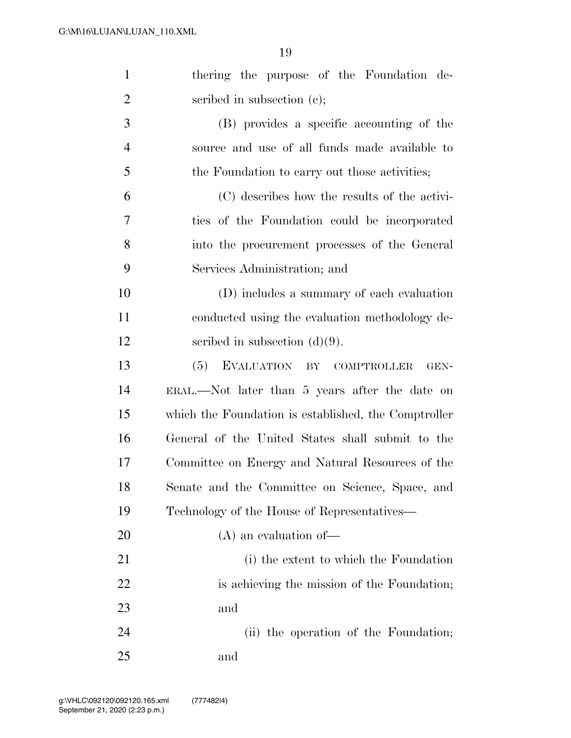| $\mathbf{1}$   | thering the purpose of the Foundation de-            |
|----------------|------------------------------------------------------|
| $\overline{2}$ | scribed in subsection $(c)$ ;                        |
| 3              | (B) provides a specific accounting of the            |
| $\overline{4}$ | source and use of all funds made available to        |
| 5              | the Foundation to carry out those activities;        |
| 6              | (C) describes how the results of the activi-         |
| 7              | ties of the Foundation could be incorporated         |
| 8              | into the procurement processes of the General        |
| 9              | Services Administration; and                         |
| 10             | (D) includes a summary of each evaluation            |
| 11             | conducted using the evaluation methodology de-       |
| 12             | scribed in subsection $(d)(9)$ .                     |
| 13             | EVALUATION BY COMPTROLLER<br>(5)<br>GEN-             |
| 14             | ERAL.—Not later than 5 years after the date on       |
| 15             | which the Foundation is established, the Comptroller |
| 16             | General of the United States shall submit to the     |
| 17             | Committee on Energy and Natural Resources of the     |
| 18             | Senate and the Committee on Science, Space, and      |
| 19             | Technology of the House of Representatives—          |
| 20             | $(A)$ an evaluation of —                             |
| 21             | (i) the extent to which the Foundation               |
| 22             | is achieving the mission of the Foundation;          |
| 23             | and                                                  |
| 24             | (ii) the operation of the Foundation;                |
| 25             | and                                                  |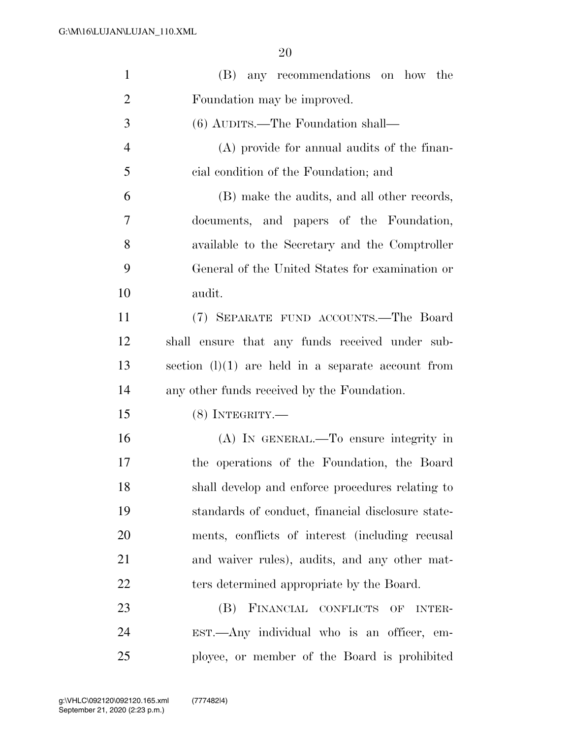| $\mathbf{1}$   | (B) any recommendations on how the                   |
|----------------|------------------------------------------------------|
| $\overline{2}$ | Foundation may be improved.                          |
| 3              | $(6)$ AUDITS.—The Foundation shall—                  |
| $\overline{4}$ | (A) provide for annual audits of the finan-          |
| 5              | cial condition of the Foundation; and                |
| 6              | (B) make the audits, and all other records,          |
| 7              | documents, and papers of the Foundation,             |
| 8              | available to the Secretary and the Comptroller       |
| 9              | General of the United States for examination or      |
| 10             | audit.                                               |
| 11             | (7) SEPARATE FUND ACCOUNTS.—The Board                |
| 12             | shall ensure that any funds received under sub-      |
| 13             | section $(l)(1)$ are held in a separate account from |
| 14             | any other funds received by the Foundation.          |
| 15             | $(8)$ INTEGRITY.—                                    |
| 16             | (A) IN GENERAL.—To ensure integrity in               |
| 17             | the operations of the Foundation, the Board          |
| 18             | shall develop and enforce procedures relating to     |
| 19             | standards of conduct, financial disclosure state-    |
| 20             | ments, conflicts of interest (including recusal      |
| 21             | and waiver rules), audits, and any other mat-        |
| 22             | ters determined appropriate by the Board.            |
| 23             | FINANCIAL CONFLICTS<br>(B)<br>OF<br><b>INTER-</b>    |
| 24             | EST.—Any individual who is an officer, em-           |
| 25             | ployee, or member of the Board is prohibited         |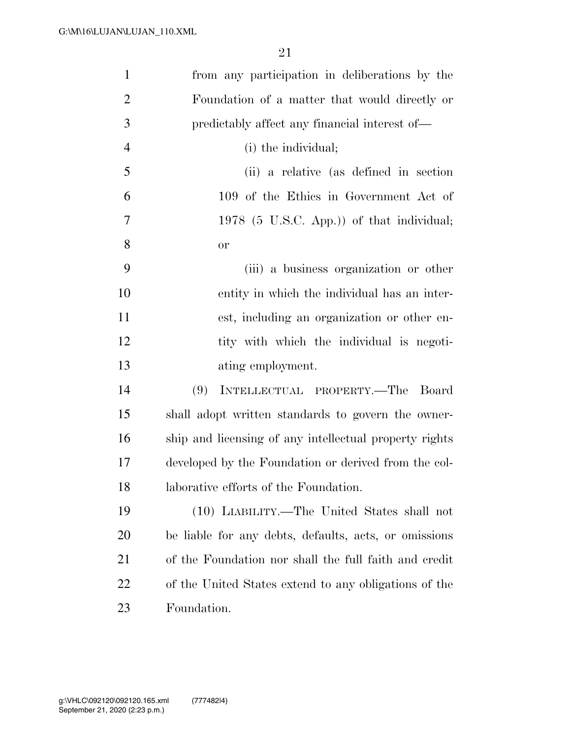| $\mathbf{1}$   | from any participation in deliberations by the         |
|----------------|--------------------------------------------------------|
| $\overline{2}$ | Foundation of a matter that would directly or          |
| 3              | predictably affect any financial interest of—          |
| $\overline{4}$ | (i) the individual;                                    |
| 5              | (ii) a relative (as defined in section                 |
| 6              | 109 of the Ethics in Government Act of                 |
| 7              | 1978 (5 U.S.C. App.)) of that individual;              |
| 8              | or                                                     |
| 9              | (iii) a business organization or other                 |
| 10             | entity in which the individual has an inter-           |
| 11             | est, including an organization or other en-            |
| 12             | tity with which the individual is negoti-              |
| 13             | ating employment.                                      |
| 14             | INTELLECTUAL PROPERTY.-The Board<br>(9)                |
| 15             | shall adopt written standards to govern the owner-     |
| 16             | ship and licensing of any intellectual property rights |
| 17             | developed by the Foundation or derived from the col-   |
| 18             | laborative efforts of the Foundation.                  |
| 19             | (10) LIABILITY.—The United States shall not            |
| 20             | be liable for any debts, defaults, acts, or omissions  |
| 21             | of the Foundation nor shall the full faith and credit  |
| <u>22</u>      | of the United States extend to any obligations of the  |
| 23             | Foundation.                                            |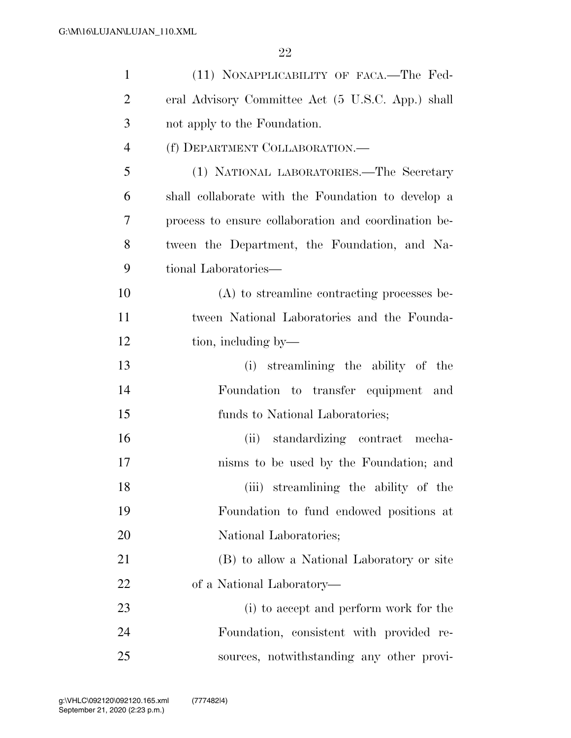| $\mathbf{1}$   | (11) NONAPPLICABILITY OF FACA.-The Fed-              |
|----------------|------------------------------------------------------|
| $\overline{2}$ | eral Advisory Committee Act (5 U.S.C. App.) shall    |
| 3              | not apply to the Foundation.                         |
| $\overline{4}$ | (f) DEPARTMENT COLLABORATION.—                       |
| 5              | (1) NATIONAL LABORATORIES.—The Secretary             |
| 6              | shall collaborate with the Foundation to develop a   |
| 7              | process to ensure collaboration and coordination be- |
| 8              | tween the Department, the Foundation, and Na-        |
| 9              | tional Laboratories—                                 |
| 10             | (A) to streamline contracting processes be-          |
| 11             | tween National Laboratories and the Founda-          |
| 12             | tion, including by—                                  |
| 13             | (i) streamlining the ability of the                  |
| 14             | Foundation to transfer equipment and                 |
| 15             | funds to National Laboratories;                      |
| 16             | (ii) standardizing contract mecha-                   |
| 17             | nisms to be used by the Foundation; and              |
| 18             | (iii) streamlining the ability of the                |
| 19             | Foundation to fund endowed positions at              |
| 20             | National Laboratories;                               |
| 21             | (B) to allow a National Laboratory or site           |
| 22             | of a National Laboratory—                            |
| 23             | (i) to accept and perform work for the               |
| 24             | Foundation, consistent with provided re-             |
| 25             | sources, notwithstanding any other provi-            |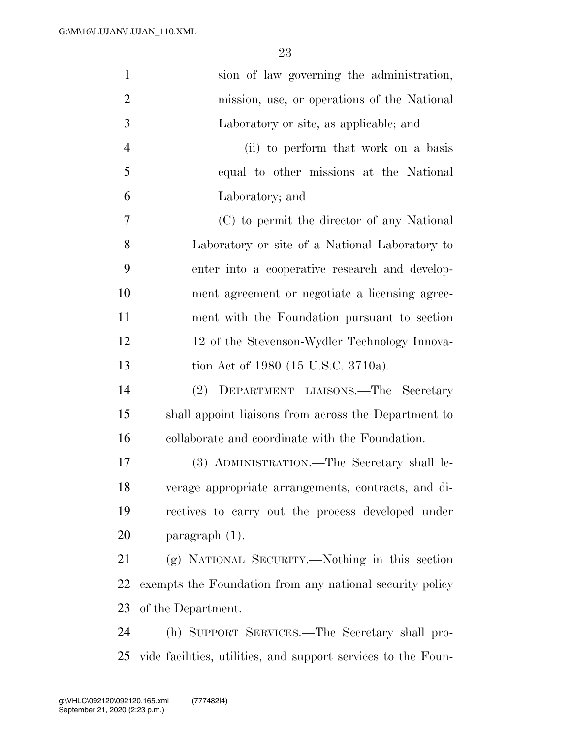| $\mathbf{1}$   | sion of law governing the administration,                     |
|----------------|---------------------------------------------------------------|
| $\overline{2}$ | mission, use, or operations of the National                   |
| 3              | Laboratory or site, as applicable; and                        |
| $\overline{4}$ | (ii) to perform that work on a basis                          |
| 5              | equal to other missions at the National                       |
| 6              | Laboratory; and                                               |
| 7              | (C) to permit the director of any National                    |
| 8              | Laboratory or site of a National Laboratory to                |
| 9              | enter into a cooperative research and develop-                |
| 10             | ment agreement or negotiate a licensing agree-                |
| 11             | ment with the Foundation pursuant to section                  |
| 12             | 12 of the Stevenson-Wydler Technology Innova-                 |
| 13             | tion Act of 1980 (15 U.S.C. 3710a).                           |
| 14             | (2) DEPARTMENT LIAISONS.—The Secretary                        |
| 15             | shall appoint liaisons from across the Department to          |
| 16             | collaborate and coordinate with the Foundation.               |
| 17             | (3) ADMINISTRATION.—The Secretary shall le-                   |
| 18             | verage appropriate arrangements, contracts, and di-           |
| 19             | rectives to carry out the process developed under             |
| 20             | $\frac{1}{2}$ paragraph (1).                                  |
| 21             | (g) NATIONAL SECURITY.—Nothing in this section                |
| 22             | exempts the Foundation from any national security policy      |
| 23             | of the Department.                                            |
| 24             | (h) SUPPORT SERVICES.—The Secretary shall pro-                |
| 25             | vide facilities, utilities, and support services to the Foun- |